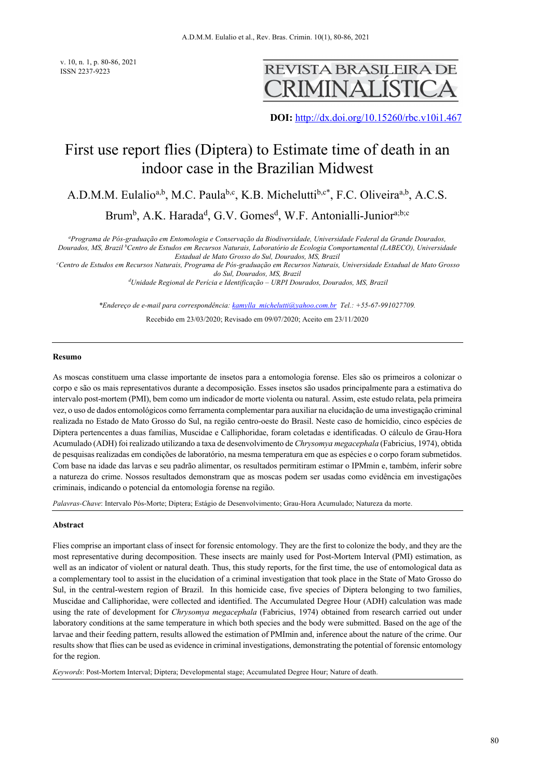v. 10, n. 1, p. 80-86, 2021 ISSN 2237-9223



**DOI:** http://dx.doi.org/10.15260/rbc.v10i1.467

# First use report flies (Diptera) to Estimate time of death in an indoor case in the Brazilian Midwest

A.D.M.M. Eulalio<sup>a,b</sup>, M.C. Paula<sup>b,c</sup>, K.B. Michelutti<sup>b,c\*</sup>, F.C. Oliveira<sup>a,b</sup>, A.C.S.

Brum<sup>b</sup>, A.K. Harada<sup>d</sup>, G.V. Gomes<sup>d</sup>, W.F. Antonialli-Junior<sup>a;b;c</sup>

*a Programa de Pós-graduação em Entomologia e Conservação da Biodiversidade, Universidade Federal da Grande Dourados, Dourados, MS, Brazil b Centro de Estudos em Recursos Naturais, Laboratório de Ecologia Comportamental (LABECO), Universidade* 

*Estadual de Mato Grosso do Sul, Dourados, MS, Brazil c Centro de Estudos em Recursos Naturais, Programa de Pós-graduação em Recursos Naturais, Universidade Estadual de Mato Grosso do Sul, Dourados, MS, Brazil*

*d Unidade Regional de Perícia e Identificação – URPI Dourados, Dourados, MS, Brazil*

*\*Endereço de e-mail para correspondência: kamylla\_michelutti@yahoo.com.br Tel.: +55-67-991027709.*

Recebido em 23/03/2020; Revisado em 09/07/2020; Aceito em 23/11/2020

#### **Resumo**

As moscas constituem uma classe importante de insetos para a entomologia forense. Eles são os primeiros a colonizar o corpo e são os mais representativos durante a decomposição. Esses insetos são usados principalmente para a estimativa do intervalo post-mortem (PMI), bem como um indicador de morte violenta ou natural. Assim, este estudo relata, pela primeira vez, o uso de dados entomológicos como ferramenta complementar para auxiliar na elucidação de uma investigação criminal realizada no Estado de Mato Grosso do Sul, na região centro-oeste do Brasil. Neste caso de homicídio, cinco espécies de Diptera pertencentes a duas famílias, Muscidae e Calliphoridae, foram coletadas e identificadas. O cálculo de Grau-Hora Acumulado (ADH) foi realizado utilizando a taxa de desenvolvimento de *Chrysomya megacephala* (Fabricius, 1974), obtida de pesquisas realizadas em condições de laboratório, na mesma temperatura em que as espécies e o corpo foram submetidos. Com base na idade das larvas e seu padrão alimentar, os resultados permitiram estimar o IPMmin e, também, inferir sobre a natureza do crime. Nossos resultados demonstram que as moscas podem ser usadas como evidência em investigações criminais, indicando o potencial da entomologia forense na região.

*Palavras-Chave*: Intervalo Pós-Morte; Diptera; Estágio de Desenvolvimento; Grau-Hora Acumulado; Natureza da morte.

#### **Abstract**

Flies comprise an important class of insect for forensic entomology. They are the first to colonize the body, and they are the most representative during decomposition. These insects are mainly used for Post-Mortem Interval (PMI) estimation, as well as an indicator of violent or natural death. Thus, this study reports, for the first time, the use of entomological data as a complementary tool to assist in the elucidation of a criminal investigation that took place in the State of Mato Grosso do Sul, in the central-western region of Brazil. In this homicide case, five species of Diptera belonging to two families, Muscidae and Calliphoridae, were collected and identified. The Accumulated Degree Hour (ADH) calculation was made using the rate of development for *Chrysomya megacephala* (Fabricius, 1974) obtained from research carried out under laboratory conditions at the same temperature in which both species and the body were submitted. Based on the age of the larvae and their feeding pattern, results allowed the estimation of PMImin and, inference about the nature of the crime. Our results show that flies can be used as evidence in criminal investigations, demonstrating the potential of forensic entomology for the region.

*Keywords*: Post-Mortem Interval; Diptera; Developmental stage; Accumulated Degree Hour; Nature of death.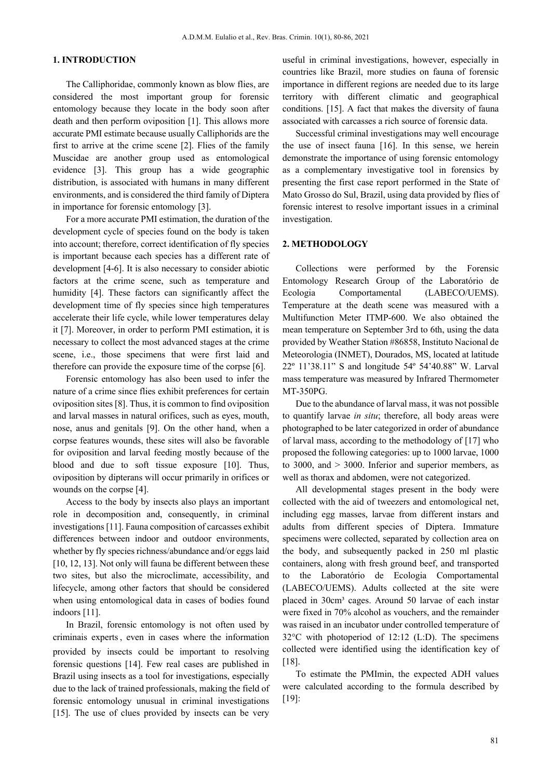# **1. INTRODUCTION**

The Calliphoridae, commonly known as blow flies, are considered the most important group for forensic entomology because they locate in the body soon after death and then perform oviposition [1]. This allows more accurate PMI estimate because usually Calliphorids are the first to arrive at the crime scene [2]. Flies of the family Muscidae are another group used as entomological evidence [3]. This group has a wide geographic distribution, is associated with humans in many different environments, and is considered the third family of Diptera in importance for forensic entomology [3].

For a more accurate PMI estimation, the duration of the development cycle of species found on the body is taken into account; therefore, correct identification of fly species is important because each species has a different rate of development [4-6]. It is also necessary to consider abiotic factors at the crime scene, such as temperature and humidity [4]. These factors can significantly affect the development time of fly species since high temperatures accelerate their life cycle, while lower temperatures delay it [7]. Moreover, in order to perform PMI estimation, it is necessary to collect the most advanced stages at the crime scene, i.e., those specimens that were first laid and therefore can provide the exposure time of the corpse [6].

Forensic entomology has also been used to infer the nature of a crime since flies exhibit preferences for certain oviposition sites [8]. Thus, it is common to find oviposition and larval masses in natural orifices, such as eyes, mouth, nose, anus and genitals [9]. On the other hand, when a corpse features wounds, these sites will also be favorable for oviposition and larval feeding mostly because of the blood and due to soft tissue exposure [10]. Thus, oviposition by dipterans will occur primarily in orifices or wounds on the corpse [4].

Access to the body by insects also plays an important role in decomposition and, consequently, in criminal investigations [11]. Fauna composition of carcasses exhibit differences between indoor and outdoor environments, whether by fly species richness/abundance and/or eggs laid [10, 12, 13]. Not only will fauna be different between these two sites, but also the microclimate, accessibility, and lifecycle, among other factors that should be considered when using entomological data in cases of bodies found indoors [11].

In Brazil, forensic entomology is not often used by criminais experts, even in cases where the information provided by insects could be important to resolving forensic questions [14]. Few real cases are published in Brazil using insects as a tool for investigations, especially due to the lack of trained professionals, making the field of forensic entomology unusual in criminal investigations [15]. The use of clues provided by insects can be very

useful in criminal investigations, however, especially in countries like Brazil, more studies on fauna of forensic importance in different regions are needed due to its large territory with different climatic and geographical conditions. [15]. A fact that makes the diversity of fauna associated with carcasses a rich source of forensic data.

Successful criminal investigations may well encourage the use of insect fauna [16]. In this sense, we herein demonstrate the importance of using forensic entomology as a complementary investigative tool in forensics by presenting the first case report performed in the State of Mato Grosso do Sul, Brazil, using data provided by flies of forensic interest to resolve important issues in a criminal investigation.

#### **2. METHODOLOGY**

Collections were performed by the Forensic Entomology Research Group of the Laboratório de Ecologia Comportamental (LABECO/UEMS). Temperature at the death scene was measured with a Multifunction Meter ITMP-600. We also obtained the mean temperature on September 3rd to 6th, using the data provided by Weather Station #86858, Instituto Nacional de Meteorologia (INMET), Dourados, MS, located at latitude 22º 11'38.11" S and longitude 54º 54'40.88" W. Larval mass temperature was measured by Infrared Thermometer MT-350PG.

Due to the abundance of larval mass, it was not possible to quantify larvae *in situ*; therefore, all body areas were photographed to be later categorized in order of abundance of larval mass, according to the methodology of [17] who proposed the following categories: up to 1000 larvae, 1000 to 3000, and > 3000. Inferior and superior members, as well as thorax and abdomen, were not categorized.

All developmental stages present in the body were collected with the aid of tweezers and entomological net, including egg masses, larvae from different instars and adults from different species of Diptera. Immature specimens were collected, separated by collection area on the body, and subsequently packed in 250 ml plastic containers, along with fresh ground beef, and transported to the Laboratório de Ecologia Comportamental (LABECO/UEMS). Adults collected at the site were placed in 30cm<sup>3</sup> cages. Around 50 larvae of each instar were fixed in 70% alcohol as vouchers, and the remainder was raised in an incubator under controlled temperature of 32°C with photoperiod of 12:12 (L:D). The specimens collected were identified using the identification key of [18].

To estimate the PMImin, the expected ADH values were calculated according to the formula described by [19]: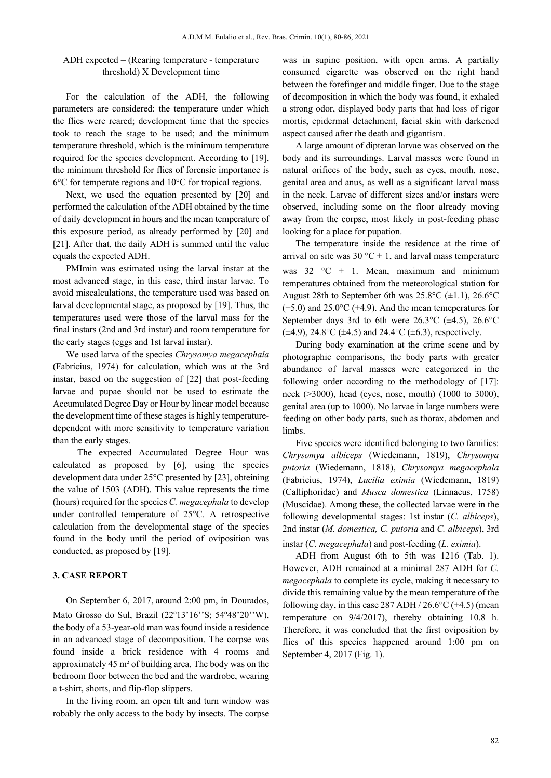# ADH expected = (Rearing temperature - temperature threshold) X Development time

For the calculation of the ADH, the following parameters are considered: the temperature under which the flies were reared; development time that the species took to reach the stage to be used; and the minimum temperature threshold, which is the minimum temperature required for the species development. According to [19], the minimum threshold for flies of forensic importance is 6°C for temperate regions and 10°C for tropical regions.

Next, we used the equation presented by [20] and performed the calculation of the ADH obtained by the time of daily development in hours and the mean temperature of this exposure period, as already performed by [20] and [21]. After that, the daily ADH is summed until the value equals the expected ADH.

PMImin was estimated using the larval instar at the most advanced stage, in this case, third instar larvae. To avoid miscalculations, the temperature used was based on larval developmental stage, as proposed by [19]. Thus, the temperatures used were those of the larval mass for the final instars (2nd and 3rd instar) and room temperature for the early stages (eggs and 1st larval instar).

We used larva of the species *Chrysomya megacephala* (Fabricius, 1974) for calculation, which was at the 3rd instar, based on the suggestion of [22] that post-feeding larvae and pupae should not be used to estimate the Accumulated Degree Day or Hour by linear model because the development time of these stages is highly temperaturedependent with more sensitivity to temperature variation than the early stages.

 The expected Accumulated Degree Hour was calculated as proposed by [6], using the species development data under 25°C presented by [23], obteining the value of 1503 (ADH). This value represents the time (hours) required for the species *C. megacephala* to develop under controlled temperature of 25°C. A retrospective calculation from the developmental stage of the species found in the body until the period of oviposition was conducted, as proposed by [19].

## **3. CASE REPORT**

On September 6, 2017, around 2:00 pm, in Dourados, Mato Grosso do Sul, Brazil (22º13'16''S; 54º48'20''W), the body of a 53-year-old man was found inside a residence in an advanced stage of decomposition. The corpse was found inside a brick residence with 4 rooms and approximately 45 m² of building area. The body was on the bedroom floor between the bed and the wardrobe, wearing a t-shirt, shorts, and flip-flop slippers.

In the living room, an open tilt and turn window was robably the only access to the body by insects. The corpse was in supine position, with open arms. A partially consumed cigarette was observed on the right hand between the forefinger and middle finger. Due to the stage of decomposition in which the body was found, it exhaled a strong odor, displayed body parts that had loss of rigor mortis, epidermal detachment, facial skin with darkened aspect caused after the death and gigantism.

A large amount of dipteran larvae was observed on the body and its surroundings. Larval masses were found in natural orifices of the body, such as eyes, mouth, nose, genital area and anus, as well as a significant larval mass in the neck. Larvae of different sizes and/or instars were observed, including some on the floor already moving away from the corpse, most likely in post-feeding phase looking for a place for pupation.

The temperature inside the residence at the time of arrival on site was 30 °C  $\pm$  1, and larval mass temperature was 32  $\degree$ C  $\pm$  1. Mean, maximum and minimum temperatures obtained from the meteorological station for August 28th to September 6th was  $25.8^{\circ}$ C ( $\pm$ 1.1), 26.6°C  $(\pm 5.0)$  and 25.0°C ( $\pm 4.9$ ). And the mean temeperatures for September days 3rd to 6th were  $26.3^{\circ}$ C ( $\pm$ 4.5),  $26.6^{\circ}$ C  $(\pm 4.9)$ , 24.8°C ( $\pm 4.5$ ) and 24.4°C ( $\pm 6.3$ ), respectively.

During body examination at the crime scene and by photographic comparisons, the body parts with greater abundance of larval masses were categorized in the following order according to the methodology of [17]: neck (>3000), head (eyes, nose, mouth) (1000 to 3000), genital area (up to 1000). No larvae in large numbers were feeding on other body parts, such as thorax, abdomen and limbs.

Five species were identified belonging to two families: *Chrysomya albiceps* (Wiedemann, 1819), *Chrysomya putoria* (Wiedemann, 1818), *Chrysomya megacephala* (Fabricius, 1974), *Lucilia eximia* (Wiedemann, 1819) (Calliphoridae) and *Musca domestica* (Linnaeus, 1758) (Muscidae). Among these, the collected larvae were in the following developmental stages: 1st instar (*C. albiceps*), 2nd instar (*M. domestica, C. putoria* and *C. albiceps*), 3rd instar (*C. megacephala*) and post-feeding (*L. eximia*).

ADH from August 6th to 5th was 1216 (Tab. 1). However, ADH remained at a minimal 287 ADH for *C. megacephala* to complete its cycle, making it necessary to divide this remaining value by the mean temperature of the following day, in this case 287 ADH  $/$  26.6°C ( $\pm$ 4.5) (mean temperature on 9/4/2017), thereby obtaining 10.8 h. Therefore, it was concluded that the first oviposition by flies of this species happened around 1:00 pm on September 4, 2017 (Fig. 1).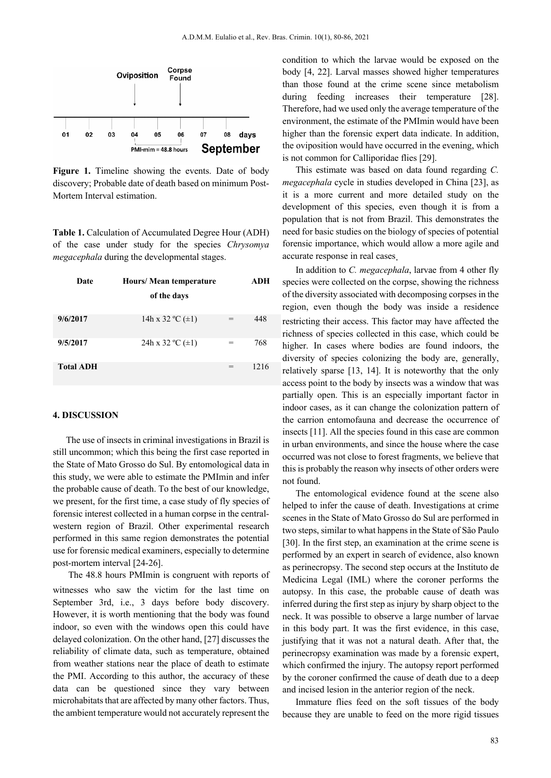

Figure 1. Timeline showing the events. Date of body discovery; Probable date of death based on minimum Post-Mortem Interval estimation.

**Table 1.** Calculation of Accumulated Degree Hour (ADH) of the case under study for the species *Chrysomya megacephala* during the developmental stages.

| Date             | Hours/Mean temperature           |     | ADH  |
|------------------|----------------------------------|-----|------|
|                  | of the days                      |     |      |
| 9/6/2017         | 14h x 32 °C $(\pm 1)$            | $=$ | 448  |
| 9/5/2017         | 24h x 32 $^{\circ}$ C ( $\pm$ 1) |     | 768  |
| <b>Total ADH</b> |                                  |     | 1216 |

# **4. DISCUSSION**

The use of insects in criminal investigations in Brazil is still uncommon; which this being the first case reported in the State of Mato Grosso do Sul. By entomological data in this study, we were able to estimate the PMImin and infer the probable cause of death. To the best of our knowledge, we present, for the first time, a case study of fly species of forensic interest collected in a human corpse in the centralwestern region of Brazil. Other experimental research performed in this same region demonstrates the potential use for forensic medical examiners, especially to determine post-mortem interval [24-26].

The 48.8 hours PMImin is congruent with reports of witnesses who saw the victim for the last time on September 3rd, i.e., 3 days before body discovery. However, it is worth mentioning that the body was found indoor, so even with the windows open this could have delayed colonization. On the other hand, [27] discusses the reliability of climate data, such as temperature, obtained from weather stations near the place of death to estimate the PMI. According to this author, the accuracy of these data can be questioned since they vary between microhabitats that are affected by many other factors. Thus, the ambient temperature would not accurately represent the

condition to which the larvae would be exposed on the body [4, 22]. Larval masses showed higher temperatures than those found at the crime scene since metabolism during feeding increases their temperature [28]. Therefore, had we used only the average temperature of the environment, the estimate of the PMImin would have been higher than the forensic expert data indicate. In addition, the oviposition would have occurred in the evening, which is not common for Calliporidae flies [29].

This estimate was based on data found regarding *C. megacephala* cycle in studies developed in China [23], as it is a more current and more detailed study on the development of this species, even though it is from a population that is not from Brazil. This demonstrates the need for basic studies on the biology of species of potential forensic importance, which would allow a more agile and accurate response in real cases.

In addition to *C. megacephala*, larvae from 4 other fly species were collected on the corpse, showing the richness of the diversity associated with decomposing corpses in the region, even though the body was inside a residence restricting their access. This factor may have affected the richness of species collected in this case, which could be higher. In cases where bodies are found indoors, the diversity of species colonizing the body are, generally, relatively sparse [13, 14]. It is noteworthy that the only access point to the body by insects was a window that was partially open. This is an especially important factor in indoor cases, as it can change the colonization pattern of the carrion entomofauna and decrease the occurrence of insects [11]. All the species found in this case are common in urban environments, and since the house where the case occurred was not close to forest fragments, we believe that this is probably the reason why insects of other orders were not found.

The entomological evidence found at the scene also helped to infer the cause of death. Investigations at crime scenes in the State of Mato Grosso do Sul are performed in two steps, similar to what happens in the State of São Paulo [30]. In the first step, an examination at the crime scene is performed by an expert in search of evidence, also known as perinecropsy. The second step occurs at the Instituto de Medicina Legal (IML) where the coroner performs the autopsy. In this case, the probable cause of death was inferred during the first step as injury by sharp object to the neck. It was possible to observe a large number of larvae in this body part. It was the first evidence, in this case, justifying that it was not a natural death. After that, the perinecropsy examination was made by a forensic expert, which confirmed the injury. The autopsy report performed by the coroner confirmed the cause of death due to a deep and incised lesion in the anterior region of the neck.

Immature flies feed on the soft tissues of the body because they are unable to feed on the more rigid tissues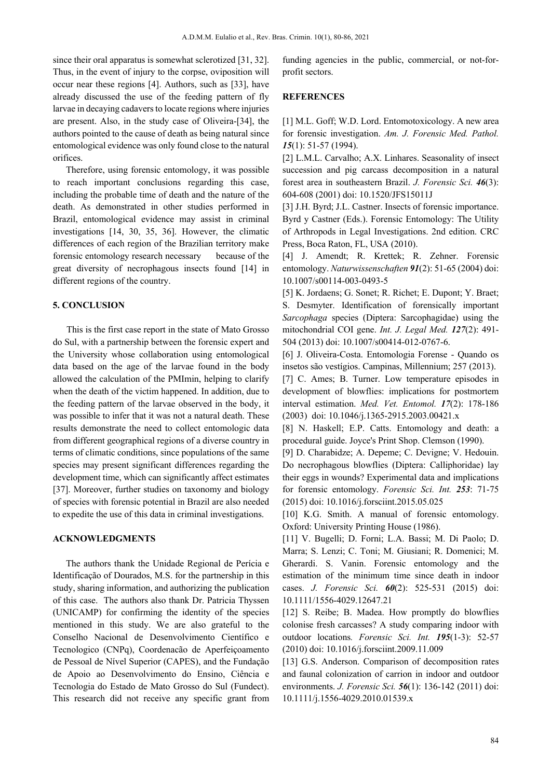since their oral apparatus is somewhat sclerotized [31, 32]. Thus, in the event of injury to the corpse, oviposition will occur near these regions [4]. Authors, such as [33], have already discussed the use of the feeding pattern of fly larvae in decaying cadavers to locate regions where injuries are present. Also, in the study case of Oliveira-[34], the authors pointed to the cause of death as being natural since entomological evidence was only found close to the natural orifices.

Therefore, using forensic entomology, it was possible to reach important conclusions regarding this case, including the probable time of death and the nature of the death. As demonstrated in other studies performed in Brazil, entomological evidence may assist in criminal investigations [14, 30, 35, 36]. However, the climatic differences of each region of the Brazilian territory make forensic entomology research necessary because of the great diversity of necrophagous insects found [14] in different regions of the country.

#### **5. CONCLUSION**

 This is the first case report in the state of Mato Grosso do Sul, with a partnership between the forensic expert and the University whose collaboration using entomological data based on the age of the larvae found in the body allowed the calculation of the PMImin, helping to clarify when the death of the victim happened. In addition, due to the feeding pattern of the larvae observed in the body, it was possible to infer that it was not a natural death. These results demonstrate the need to collect entomologic data from different geographical regions of a diverse country in terms of climatic conditions, since populations of the same species may present significant differences regarding the development time, which can significantly affect estimates [37]. Moreover, further studies on taxonomy and biology of species with forensic potential in Brazil are also needed to expedite the use of this data in criminal investigations.

### **ACKNOWLEDGMENTS**

The authors thank the Unidade Regional de Perícia e Identificação of Dourados, M.S. for the partnership in this study, sharing information, and authorizing the publication of this case. The authors also thank Dr. Patricia Thyssen (UNICAMP) for confirming the identity of the species mentioned in this study. We are also grateful to the Conselho Nacional de Desenvolvimento Científico e Tecnologico (CNPq), Coordenacão de Aperfeiçoamento de Pessoal de Nível Superior (CAPES), and the Fundação de Apoio ao Desenvolvimento do Ensino, Ciência e Tecnologia do Estado de Mato Grosso do Sul (Fundect). This research did not receive any specific grant from funding agencies in the public, commercial, or not-forprofit sectors.

# **REFERENCES**

[1] M.L. Goff; W.D. Lord. Entomotoxicology. A new area for forensic investigation. *Am. J. Forensic Med. Pathol. 15*(1): 51-57 (1994).

[2] L.M.L. Carvalho; A.X. Linhares. Seasonality of insect succession and pig carcass decomposition in a natural forest area in southeastern Brazil. *J. Forensic Sci. 46*(3): 604-608 (2001) doi: 10.1520/JFS15011J

[3] J.H. Byrd; J.L. Castner. Insects of forensic importance. Byrd y Castner (Eds.). Forensic Entomology: The Utility of Arthropods in Legal Investigations. 2nd edition. CRC Press, Boca Raton, FL, USA (2010).

[4] J. Amendt; R. Krettek; R. Zehner. Forensic entomology. *Naturwissenschaften 91*(2): 51-65 (2004) doi: 10.1007/s00114-003-0493-5

[5] K. Jordaens; G. Sonet; R. Richet; E. Dupont; Y. Braet; S. Desmyter. Identification of forensically important *Sarcophaga* species (Diptera: Sarcophagidae) using the mitochondrial COI gene. *Int. J. Legal Med. 127*(2): 491- 504 (2013) doi: 10.1007/s00414-012-0767-6.

[6] J. Oliveira-Costa. Entomologia Forense - Quando os insetos são vestígios. Campinas, Millennium; 257 (2013).

[7] C. Ames; B. Turner. Low temperature episodes in development of blowflies: implications for postmortem interval estimation. *Med. Vet. Entomol. 17*(2): 178-186 (2003) doi: 10.1046/j.1365-2915.2003.00421.x

[8] N. Haskell; E.P. Catts. Entomology and death: a procedural guide. Joyce's Print Shop. Clemson (1990).

[9] D. Charabidze; A. Depeme; C. Devigne; V. Hedouin. Do necrophagous blowflies (Diptera: Calliphoridae) lay their eggs in wounds? Experimental data and implications for forensic entomology. *Forensic Sci. Int. 253*: 71-75 (2015) doi: 10.1016/j.forsciint.2015.05.025

[10] K.G. Smith. A manual of forensic entomology. Oxford: University Printing House (1986).

[11] V. Bugelli; D. Forni; L.A. Bassi; M. Di Paolo; D. Marra; S. Lenzi; C. Toni; M. Giusiani; R. Domenici; M. Gherardi. S. Vanin. Forensic entomology and the estimation of the minimum time since death in indoor cases. *J. Forensic Sci. 60*(2): 525-531 (2015) doi: 10.1111/1556-4029.12647.21

[12] S. Reibe; B. Madea. How promptly do blowflies colonise fresh carcasses? A study comparing indoor with outdoor locations*. Forensic Sci. Int. 195*(1-3): 52-57 (2010) doi: 10.1016/j.forsciint.2009.11.009

[13] G.S. Anderson. Comparison of decomposition rates and faunal colonization of carrion in indoor and outdoor environments. *J. Forensic Sci. 56*(1): 136-142 (2011) doi: 10.1111/j.1556-4029.2010.01539.x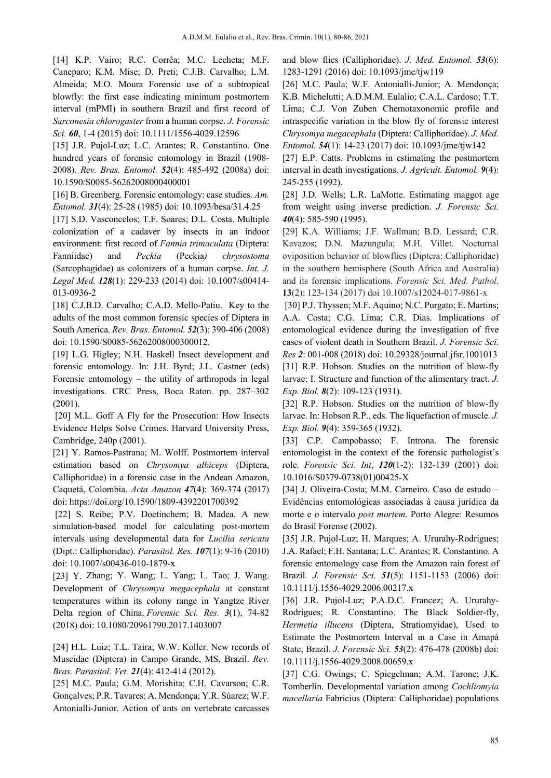[14] K.P. Vairo; R.C. Corrêa; M.C. Lecheta; M.F. Caneparo; K.M. Mise; D. Preti; C.J.B. Carvalho; L.M. Almeida; M.O. Moura Forensic use of a subtropical blowfly: the first case indicating minimum postmortem interval (mPMI) in southern Brazil and first record of *Sarconesia chlorogaster* from a human corpse. *J. Forensic Sci. 60*, 1-4 (2015) doi: 10.1111/1556-4029.12596

[15] J.R. Pujol-Luz; L.C. Arantes; R. Constantino. One hundred years of forensic entomology in Brazil (1908- 2008). *Rev. Bras. Entomol. 52*(4): 485-492 (2008a) doi: 10.1590/S0085-56262008000400001

[16] B. Greenberg. Forensic entomology: case studies. *Am. Entomol. 31*(4): 25-28 (1985) doi: 10.1093/besa/31.4.25

[17] S.D. Vasconcelos; T.F. Soares; D.L. Costa. Multiple colonization of a cadaver by insects in an indoor environment: first record of *Fannia trimaculata* (Diptera: Fanniidae) and *Peckia* (Peckia*) chrysostoma* (Sarcophagidae) as colonizers of a human corpse. *Int. J. Legal Med. 128*(1): 229-233 (2014) doi: 10.1007/s00414- 013-0936-2

[18] C.J.B.D. Carvalho; C.A.D. Mello-Patiu. Key to the adults of the most common forensic species of Diptera in South America. *Rev. Bras. Entomol. 52*(3): 390-406 (2008) doi: 10.1590/S0085-56262008000300012.

[19] L.G. Higley; N.H. Haskell Insect development and forensic entomology. In: J.H. Byrd; J.L. Castner (eds) Forensic entomology – the utility of arthropods in legal investigations. CRC Press, Boca Raton. pp. 287–302 (2001).

[20] M.L. Goff A Fly for the Prosecution: How Insects Evidence Helps Solve Crimes. Harvard University Press, Cambridge, 240p (2001).

[21] Y. Ramos-Pastrana; M. Wolff. Postmortem interval estimation based on *Chrysomya albiceps* (Diptera, Calliphoridae) in a forensic case in the Andean Amazon, Caquetá, Colombia. *Acta Amazon 47*(4): 369-374 (2017) doi: https://doi.org/10.1590/1809-4392201700392

[22] S. Reibe; P.V. Doetinchem; B. Madea. A new simulation-based model for calculating post-mortem intervals using developmental data for *Lucilia sericata* (Dipt.: Calliphoridae). *Parasitol. Res. 107*(1): 9-16 (2010) doi: 10.1007/s00436-010-1879-x

[23] Y. Zhang; Y. Wang; L. Yang; L. Tao; J. Wang. Development of *Chrysomya megacephala* at constant temperatures within its colony range in Yangtze River Delta region of China. *Forensic Sci. Res. 3*(1), 74-82 (2018) doi: 10.1080/20961790.2017.1403007

[24] H.L. Luiz; T.L. Taira; W.W. Koller. New records of Muscidae (Diptera) in Campo Grande, MS, Brazil. *Rev. Bras. Parasitol. Vet. 21*(4): 412-414 (2012).

[25] M.C. Paula; G.M. Morishita; C.H. Cavarson; C.R. Gonçalves; P.R. Tavares; A. Mendonça; Y.R. Súarez; W.F. Antonialli-Junior. Action of ants on vertebrate carcasses and blow flies (Calliphoridae). *J. Med. Entomol. 53*(6): 1283-1291 (2016) doi: 10.1093/jme/tjw119

[26] M.C. Paula; W.F. Antonialli-Junior; A. Mendonça; K.B. Michelutti; A.D.M.M. Eulalio; C.A.L. Cardoso; T.T. Lima; C.J. Von Zuben Chemotaxonomic profile and intraspecific variation in the blow fly of forensic interest *Chrysomya megacephala* (Diptera: Calliphoridae). *J. Med. Entomol. 54*(1): 14-23 (2017) doi: 10.1093/jme/tjw142

[27] E.P. Catts. Problems in estimating the postmortem interval in death investigations. *J. Agricult. Entomol. 9*(4): 245-255 (1992).

[28] J.D. Wells; L.R. LaMotte. Estimating maggot age from weight using inverse prediction. *J. Forensic Sci. 40*(4): 585-590 (1995).

[29] K.A. Williams; J.F. Wallman; B.D. Lessard; C.R. Kavazos; D.N. Mazungula; M.H. Villet. Nocturnal oviposition behavior of blowflies (Diptera: Calliphoridae) in the southern hemisphere (South Africa and Australia) and its forensic implications. *Forensic Sci. Med. Pathol*. **13**(2): 123-134 (2017) doi 10.1007/s12024-017-9861-x

[30] P.J. Thyssen; M.F. Aquino; N.C. Purgato; E. Martins; A.A. Costa; C.G. Lima; C.R. Dias. Implications of entomological evidence during the investigation of five cases of violent death in Southern Brazil. *J. Forensic Sci. Res 2*: 001-008 (2018) doi: 10.29328/journal.jfsr.1001013 [31] R.P. Hobson. Studies on the nutrition of blow-fly larvae: I. Structure and function of the alimentary tract. *J. Exp. Biol. 8*(2): 109-123 (1931).

[32] R.P. Hobson. Studies on the nutrition of blow-fly larvae. In: Hobson R.P., eds. The liquefaction of muscle. *J. Exp. Biol. 9*(4): 359-365 (1932).

[33] C.P. Campobasso; F. Introna. The forensic entomologist in the context of the forensic pathologist's role. *Forensic Sci. Int*, *120*(1-2): 132-139 (2001) doi: 10.1016/S0379-0738(01)00425-X

[34] J. Oliveira-Costa; M.M. Carneiro. Caso de estudo – Evidências entomológicas associadas à causa jurídica da morte e o intervalo *post mortem*. Porto Alegre: Resumos do Brasil Forense (2002).

[35] J.R. Pujol-Luz; H. Marques; A. Ururahy-Rodrigues; J.A. Rafael; F.H. Santana; L.C. Arantes; R. Constantino. A forensic entomology case from the Amazon rain forest of Brazil. *J. Forensic Sci. 51*(5): 1151-1153 (2006) doi: 10.1111/j.1556-4029.2006.00217.x

[36] J.R. Pujol-Luz; P.A.D.C. Francez; A. Ururahy-Rodrigues; R. Constantino. The Black Soldier‐fly, *Hermetia illucens* (Diptera, Stratiomyidae), Used to Estimate the Postmortem Interval in a Case in Amapá State, Brazil. *J. Forensic Sci. 53*(2): 476-478 (2008b) doi: 10.1111/j.1556-4029.2008.00659.x

[37] C.G. Owings; C. Spiegelman; A.M. Tarone; J.K. Tomberlin. Developmental variation among *Cochliomyia macellaria* Fabricius (Diptera: Calliphoridae) populations